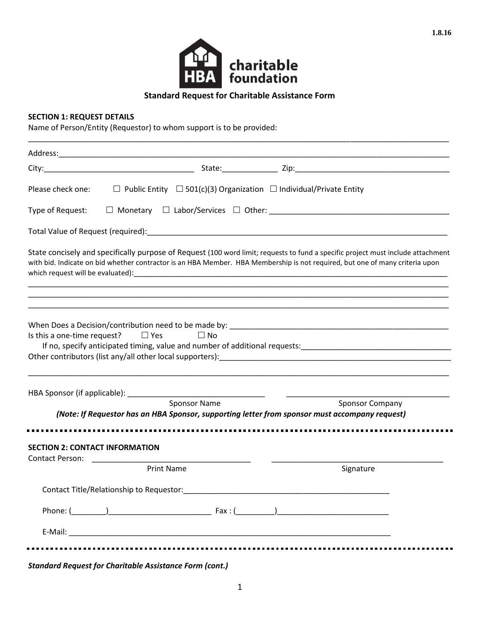

# **Standard Request for Charitable Assistance Form**

# **SECTION 1: REQUEST DETAILS**

Name of Person/Entity (Requestor) to whom support is to be provided:

| Please check one:                        | $\Box$ Public Entity $\Box$ 501(c)(3) Organization $\Box$ Individual/Private Entity |                                                                                                                                                                                                                                                                  |
|------------------------------------------|-------------------------------------------------------------------------------------|------------------------------------------------------------------------------------------------------------------------------------------------------------------------------------------------------------------------------------------------------------------|
| Type of Request:                         |                                                                                     |                                                                                                                                                                                                                                                                  |
|                                          |                                                                                     |                                                                                                                                                                                                                                                                  |
|                                          |                                                                                     | State concisely and specifically purpose of Request (100 word limit; requests to fund a specific project must include attachment<br>with bid. Indicate on bid whether contractor is an HBA Member. HBA Membership is not required, but one of many criteria upon |
| Is this a one-time request? $\Box$ Yes   | $\Box$ No                                                                           | Other contributors (list any/all other local supporters): [19] The Content of the contributors (list any/all other local supporters):                                                                                                                            |
| HBA Sponsor (if applicable): __________  | <u> 1980 - Jan Barbarat, manala</u><br>Sponsor Name                                 |                                                                                                                                                                                                                                                                  |
|                                          |                                                                                     | <b>Sponsor Company</b><br>(Note: If Requestor has an HBA Sponsor, supporting letter from sponsor must accompany request)                                                                                                                                         |
|                                          |                                                                                     |                                                                                                                                                                                                                                                                  |
| <b>SECTION 2: CONTACT INFORMATION</b>    |                                                                                     |                                                                                                                                                                                                                                                                  |
| <b>Contact Person:</b>                   | <b>Print Name</b>                                                                   | Signature                                                                                                                                                                                                                                                        |
| Contact Title/Relationship to Requestor: |                                                                                     |                                                                                                                                                                                                                                                                  |
|                                          |                                                                                     |                                                                                                                                                                                                                                                                  |
|                                          |                                                                                     |                                                                                                                                                                                                                                                                  |
|                                          |                                                                                     |                                                                                                                                                                                                                                                                  |

*Standard Request for Charitable Assistance Form (cont.)*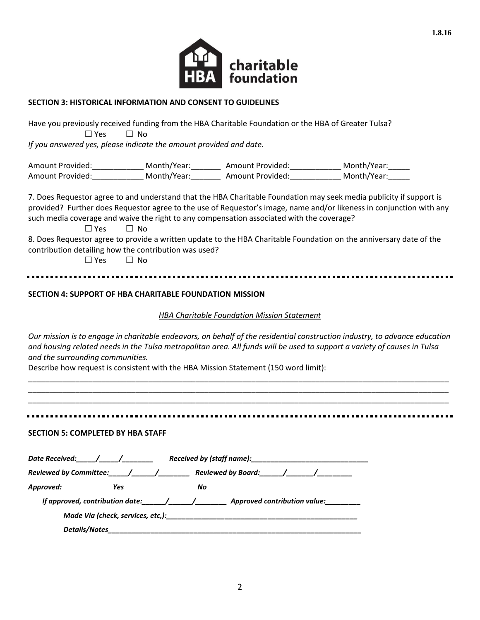

## **SECTION 3: HISTORICAL INFORMATION AND CONSENT TO GUIDELINES**

Have you previously received funding from the HBA Charitable Foundation or the HBA of Greater Tulsa?  $\Box$  Yes  $\Box$  No *If you answered yes, please indicate the amount provided and date.*

Amount Provided:\_\_\_\_\_\_\_\_\_\_\_\_\_\_\_ Month/Year:\_\_\_\_\_\_\_\_\_\_ Amount Provided:\_\_\_\_\_\_\_\_\_\_\_\_\_\_ Month/Year:\_\_\_\_\_\_ Amount Provided: \_\_\_\_\_\_\_\_\_\_\_\_\_\_ Month/Year: \_\_\_\_\_\_\_\_\_ Amount Provided: \_\_\_\_\_\_\_\_\_\_ Month/Year: \_\_\_\_\_

7. Does Requestor agree to and understand that the HBA Charitable Foundation may seek media publicity if support is provided? Further does Requestor agree to the use of Requestor's image, name and/or likeness in conjunction with any such media coverage and waive the right to any compensation associated with the coverage?

 $\Box$  Yes  $\Box$  No

8. Does Requestor agree to provide a written update to the HBA Charitable Foundation on the anniversary date of the contribution detailing how the contribution was used?

 $\Box$  Yes  $\Box$  No.

## **SECTION 4: SUPPORT OF HBA CHARITABLE FOUNDATION MISSION**

## *HBA Charitable Foundation Mission Statement*

*Our mission is to engage in charitable endeavors, on behalf of the residential construction industry, to advance education and housing related needs in the Tulsa metropolitan area. All funds will be used to support a variety of causes in Tulsa and the surrounding communities.*

\_\_\_\_\_\_\_\_\_\_\_\_\_\_\_\_\_\_\_\_\_\_\_\_\_\_\_\_\_\_\_\_\_\_\_\_\_\_\_\_\_\_\_\_\_\_\_\_\_\_\_\_\_\_\_\_\_\_\_\_\_\_\_\_\_\_\_\_\_\_\_\_\_\_\_\_\_\_\_\_\_\_\_\_\_\_\_\_\_\_\_\_\_\_\_\_\_\_ \_\_\_\_\_\_\_\_\_\_\_\_\_\_\_\_\_\_\_\_\_\_\_\_\_\_\_\_\_\_\_\_\_\_\_\_\_\_\_\_\_\_\_\_\_\_\_\_\_\_\_\_\_\_\_\_\_\_\_\_\_\_\_\_\_\_\_\_\_\_\_\_\_\_\_\_\_\_\_\_\_\_\_\_\_\_\_\_\_\_\_\_\_\_\_\_\_\_ \_\_\_\_\_\_\_\_\_\_\_\_\_\_\_\_\_\_\_\_\_\_\_\_\_\_\_\_\_\_\_\_\_\_\_\_\_\_\_\_\_\_\_\_\_\_\_\_\_\_\_\_\_\_\_\_\_\_\_\_\_\_\_\_\_\_\_\_\_\_\_\_\_\_\_\_\_\_\_\_\_\_\_\_\_\_\_\_\_\_\_\_\_\_\_\_\_\_

Describe how request is consistent with the HBA Mission Statement (150 word limit):

### **SECTION 5: COMPLETED BY HBA STAFF**

| Date Received:                  |                      | Received by (staff name):                                           |  |
|---------------------------------|----------------------|---------------------------------------------------------------------|--|
| <b>Reviewed by Committee:</b>   | $\sqrt{1}$           |                                                                     |  |
| Approved:                       | Yes                  | No.                                                                 |  |
| If approved, contribution date: |                      | Approved contribution value:                                        |  |
|                                 |                      | Made Via (check, services, etc,): Made Via (check, services, etc,): |  |
|                                 | <b>Details/Notes</b> |                                                                     |  |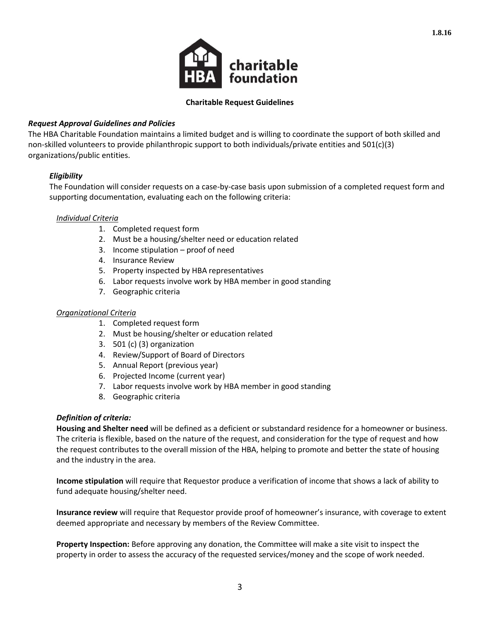

**1.8.16**

# **Charitable Request Guidelines**

## *Request Approval Guidelines and Policies*

The HBA Charitable Foundation maintains a limited budget and is willing to coordinate the support of both skilled and non-skilled volunteers to provide philanthropic support to both individuals/private entities and 501(c)(3) organizations/public entities.

## *Eligibility*

The Foundation will consider requests on a case-by-case basis upon submission of a completed request form and supporting documentation, evaluating each on the following criteria:

### *Individual Criteria*

- 1. Completed request form
- 2. Must be a housing/shelter need or education related
- 3. Income stipulation proof of need
- 4. Insurance Review
- 5. Property inspected by HBA representatives
- 6. Labor requests involve work by HBA member in good standing
- 7. Geographic criteria

#### *Organizational Criteria*

- 1. Completed request form
- 2. Must be housing/shelter or education related
- 3. 501 (c) (3) organization
- 4. Review/Support of Board of Directors
- 5. Annual Report (previous year)
- 6. Projected Income (current year)
- 7. Labor requests involve work by HBA member in good standing
- 8. Geographic criteria

#### *Definition of criteria:*

**Housing and Shelter need** will be defined as a deficient or substandard residence for a homeowner or business. The criteria is flexible, based on the nature of the request, and consideration for the type of request and how the request contributes to the overall mission of the HBA, helping to promote and better the state of housing and the industry in the area.

**Income stipulation** will require that Requestor produce a verification of income that shows a lack of ability to fund adequate housing/shelter need.

**Insurance review** will require that Requestor provide proof of homeowner's insurance, with coverage to extent deemed appropriate and necessary by members of the Review Committee.

**Property Inspection:** Before approving any donation, the Committee will make a site visit to inspect the property in order to assess the accuracy of the requested services/money and the scope of work needed.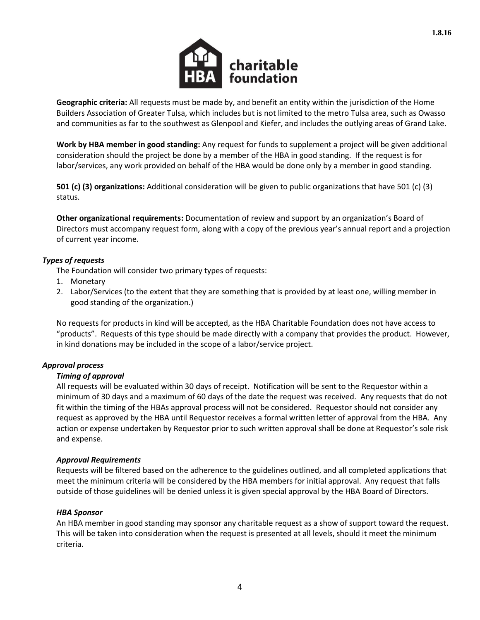

**Geographic criteria:** All requests must be made by, and benefit an entity within the jurisdiction of the Home Builders Association of Greater Tulsa, which includes but is not limited to the metro Tulsa area, such as Owasso and communities as far to the southwest as Glenpool and Kiefer, and includes the outlying areas of Grand Lake.

**Work by HBA member in good standing:** Any request for funds to supplement a project will be given additional consideration should the project be done by a member of the HBA in good standing. If the request is for labor/services, any work provided on behalf of the HBA would be done only by a member in good standing.

**501 (c) (3) organizations:** Additional consideration will be given to public organizations that have 501 (c) (3) status.

**Other organizational requirements:** Documentation of review and support by an organization's Board of Directors must accompany request form, along with a copy of the previous year's annual report and a projection of current year income.

# *Types of requests*

The Foundation will consider two primary types of requests:

- 1. Monetary
- 2. Labor/Services (to the extent that they are something that is provided by at least one, willing member in good standing of the organization.)

No requests for products in kind will be accepted, as the HBA Charitable Foundation does not have access to "products". Requests of this type should be made directly with a company that provides the product. However, in kind donations may be included in the scope of a labor/service project.

## *Approval process*

## *Timing of approval*

All requests will be evaluated within 30 days of receipt. Notification will be sent to the Requestor within a minimum of 30 days and a maximum of 60 days of the date the request was received. Any requests that do not fit within the timing of the HBAs approval process will not be considered. Requestor should not consider any request as approved by the HBA until Requestor receives a formal written letter of approval from the HBA. Any action or expense undertaken by Requestor prior to such written approval shall be done at Requestor's sole risk and expense.

## *Approval Requirements*

Requests will be filtered based on the adherence to the guidelines outlined, and all completed applications that meet the minimum criteria will be considered by the HBA members for initial approval. Any request that falls outside of those guidelines will be denied unless it is given special approval by the HBA Board of Directors.

## *HBA Sponsor*

An HBA member in good standing may sponsor any charitable request as a show of support toward the request. This will be taken into consideration when the request is presented at all levels, should it meet the minimum criteria.